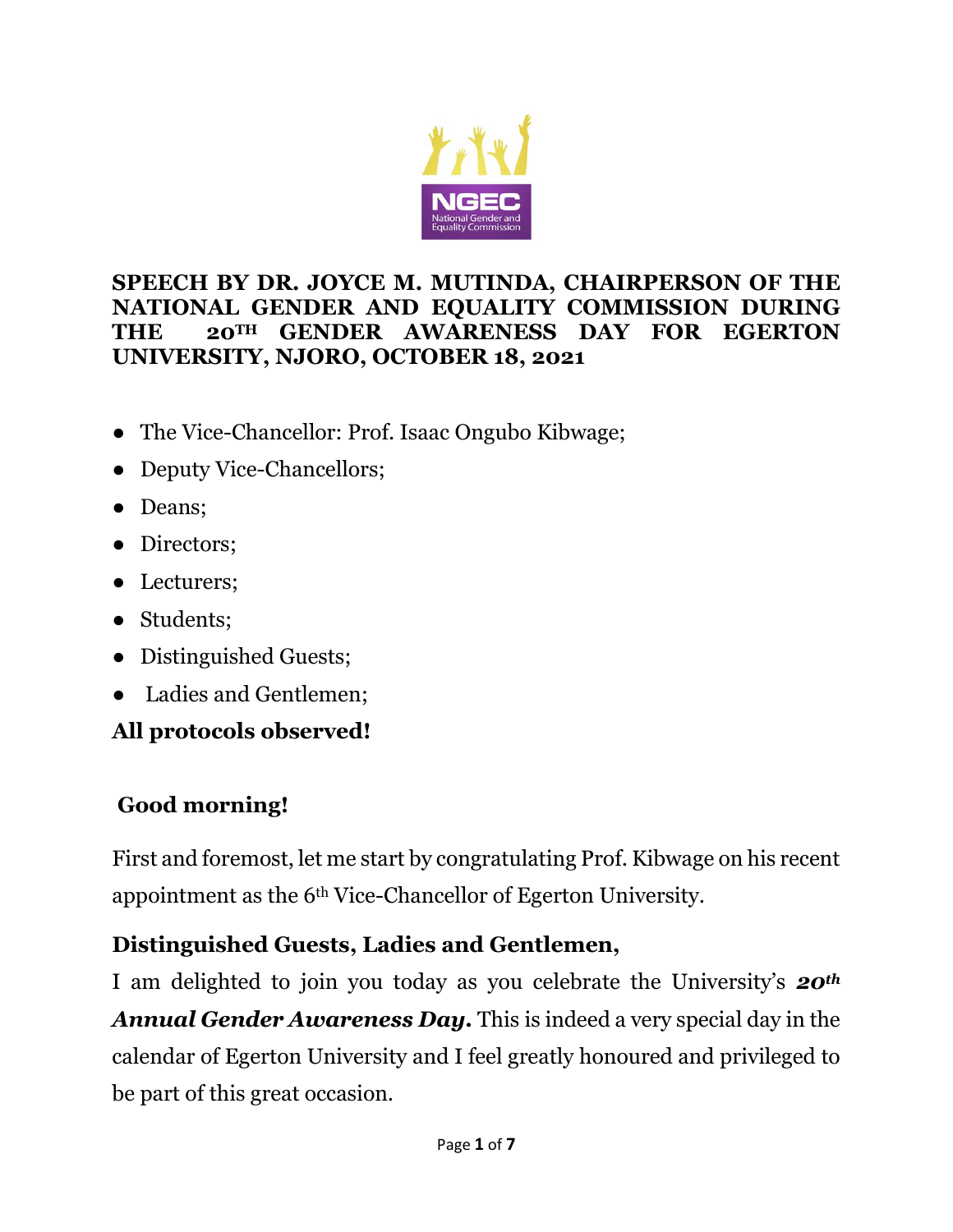

#### **SPEECH BY DR. JOYCE M. MUTINDA, CHAIRPERSON OF THE NATIONAL GENDER AND EQUALITY COMMISSION DURING THE 20TH GENDER AWARENESS DAY FOR EGERTON UNIVERSITY, NJORO, OCTOBER 18, 2021**

- The Vice-Chancellor: Prof. Isaac Ongubo Kibwage;
- Deputy Vice-Chancellors;
- Deans;
- Directors;
- Lecturers;
- Students;
- Distinguished Guests;
- Ladies and Gentlemen;

## **All protocols observed!**

## **Good morning!**

First and foremost, let me start by congratulating Prof. Kibwage on his recent appointment as the 6th Vice-Chancellor of Egerton University.

## **Distinguished Guests, Ladies and Gentlemen,**

I am delighted to join you today as you celebrate the University's *20th Annual Gender Awareness Day.* This is indeed a very special day in the calendar of Egerton University and I feel greatly honoured and privileged to be part of this great occasion.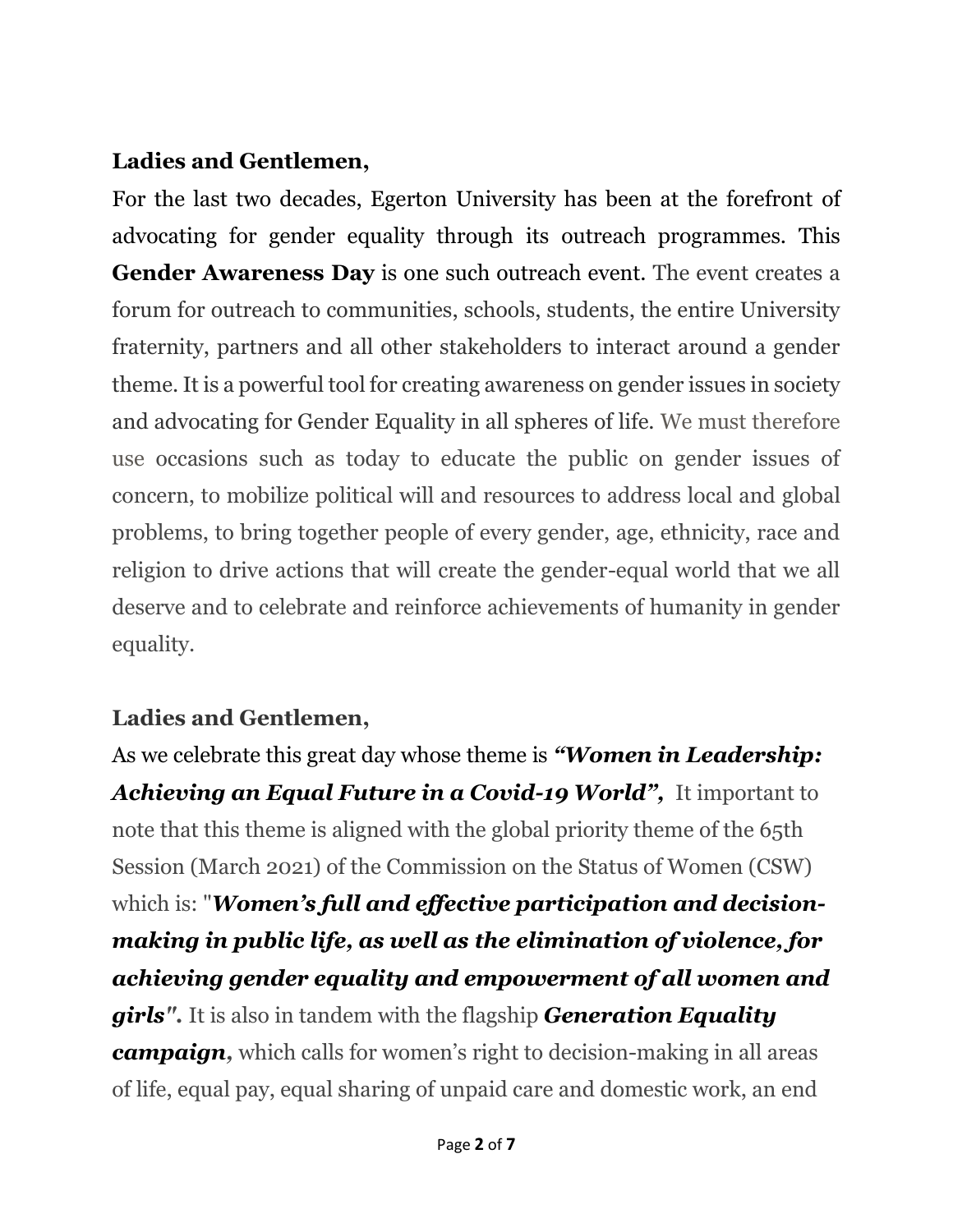#### **Ladies and Gentlemen,**

For the last two decades, Egerton University has been at the forefront of advocating for gender equality through its outreach programmes. This **Gender Awareness Day** is one such outreach event. The event creates a forum for outreach to communities, schools, students, the entire University fraternity, partners and all other stakeholders to interact around a gender theme. It is a powerful tool for creating awareness on gender issues in society and advocating for Gender Equality in all spheres of life. We must therefore use occasions such as today to educate the public on gender issues of concern, to mobilize political will and resources to address local and global problems, to bring together people of every gender, age, ethnicity, race and religion to drive actions that will create the gender-equal world that we all deserve and to celebrate and reinforce achievements of humanity in gender equality.

### **Ladies and Gentlemen,**

As we celebrate this great day whose theme is *"Women in Leadership: Achieving an Equal Future in a Covid-19 World",* It important to note that this theme is aligned with the global priority theme of the 65th Session (March 2021) of the Commission on the Status of Women (CSW) which is: "*Women's full and effective participation and decisionmaking in public life, as well as the elimination of violence, for achieving gender equality and empowerment of all women and girls".* It is also in tandem with the flagship *[Generation Equality](https://www.unwomen.org/en/get-involved/beijing-plus-25)  [campaign,](https://www.unwomen.org/en/get-involved/beijing-plus-25)* which calls for women's right to decision-making in all areas of life, equal pay, equal sharing of unpaid care and domestic work, an end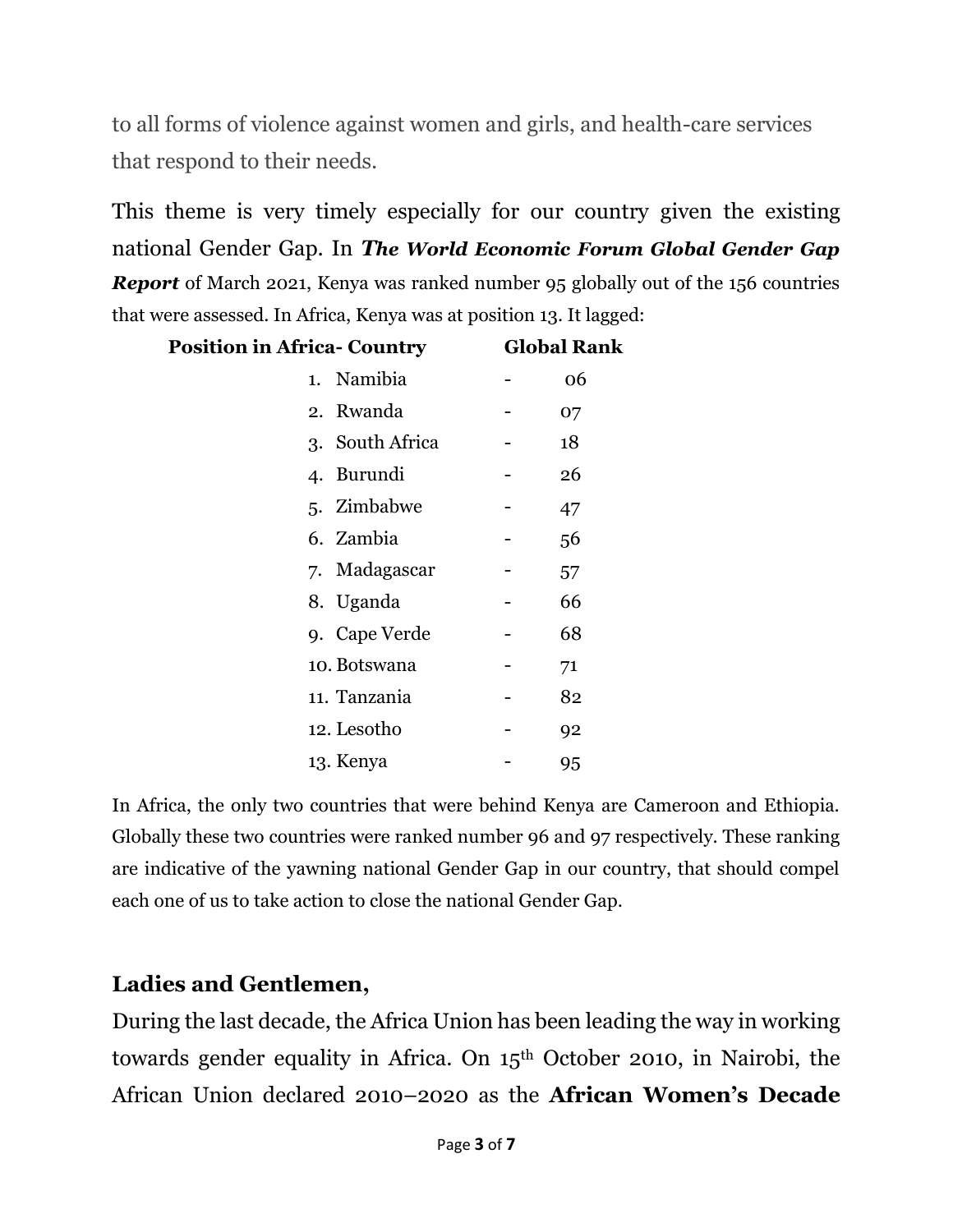to all forms of violence against women and girls, and health-care services that respond to their needs.

This theme is very timely especially for our country given the existing national Gender Gap. In *The World Economic Forum Global Gender Gap Report* of March 2021, Kenya was ranked number 95 globally out of the 156 countries that were assessed. In Africa, Kenya was at position 13. It lagged:

| <b>Position in Africa- Country</b> | <b>Global Rank</b> |  |
|------------------------------------|--------------------|--|
| 1. Namibia                         | 06                 |  |
| 2. Rwanda                          | 07                 |  |
| 3. South Africa                    | 18                 |  |
| 4. Burundi                         | 26                 |  |
| 5. Zimbabwe                        | 47                 |  |
| 6. Zambia                          | 56                 |  |
| 7. Madagascar                      | 57                 |  |
| 8. Uganda                          | 66                 |  |
| 9. Cape Verde                      | 68                 |  |
| 10. Botswana                       | 71                 |  |
| 11. Tanzania                       | 82                 |  |
| 12. Lesotho                        | 92                 |  |
| 13. Kenya                          | 95                 |  |

In Africa, the only two countries that were behind Kenya are Cameroon and Ethiopia. Globally these two countries were ranked number 96 and 97 respectively. These ranking are indicative of the yawning national Gender Gap in our country, that should compel each one of us to take action to close the national Gender Gap.

#### **Ladies and Gentlemen,**

During the last decade, the Africa Union has been leading the way in working towards gender equality in Africa. On 15th October 2010, in Nairobi, the African Union declared 2010–2020 as the **African Women's Decade**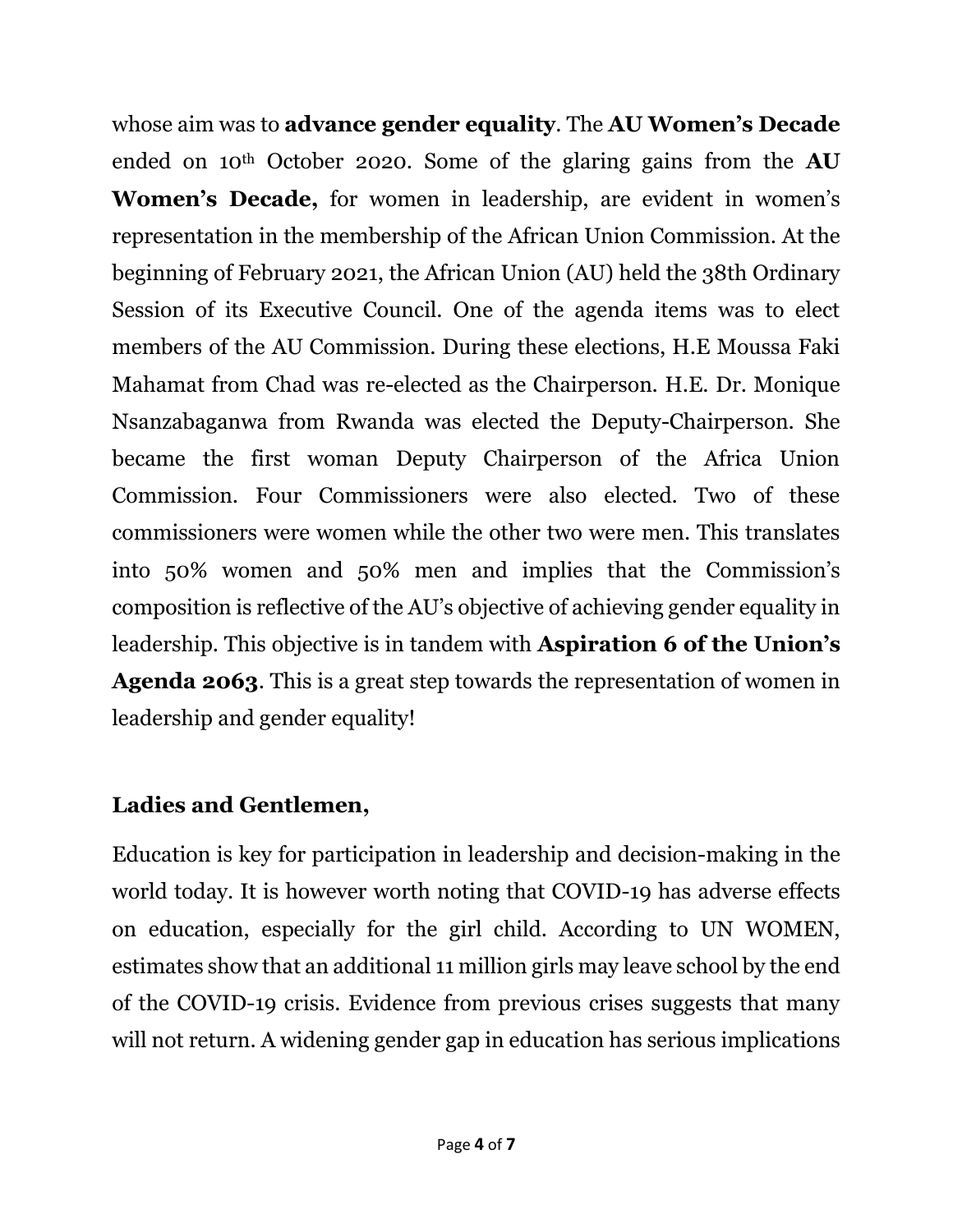whose aim was to **advance gender equality**. The **AU Women's Decade** ended on 10th October 2020. Some of the glaring gains from the **AU Women's Decade,** for women in leadership, are evident in women's representation in the membership of the African Union Commission. At the beginning of February 2021, the African Union (AU) held the 38th Ordinary Session of its Executive Council. One of the agenda items was to elect members of the AU Commission. During these elections, H.E Moussa Faki Mahamat from Chad was re-elected as the Chairperson. H.E. Dr. Monique Nsanzabaganwa from Rwanda was elected the Deputy-Chairperson. She became the first woman Deputy Chairperson of the Africa Union Commission. Four Commissioners were also elected. Two of these commissioners were women while the other two were men. This translates into 50% women and 50% men and implies that the Commission's composition is reflective of the AU's objective of achieving gender equality in leadership. This objective is in tandem with **Aspiration 6 of the Union's Agenda 2063**. This is a great step towards the representation of women in leadership and gender equality!

#### **Ladies and Gentlemen,**

Education is key for participation in leadership and decision-making in the world today. It is however worth noting that COVID-19 has adverse effects on education, especially for the girl child. According to UN WOMEN, estimates show that an additional 11 million girls may leave school by the end of the COVID-19 crisis. Evidence from previous crises suggests that many will not return. A widening gender gap in education has serious implications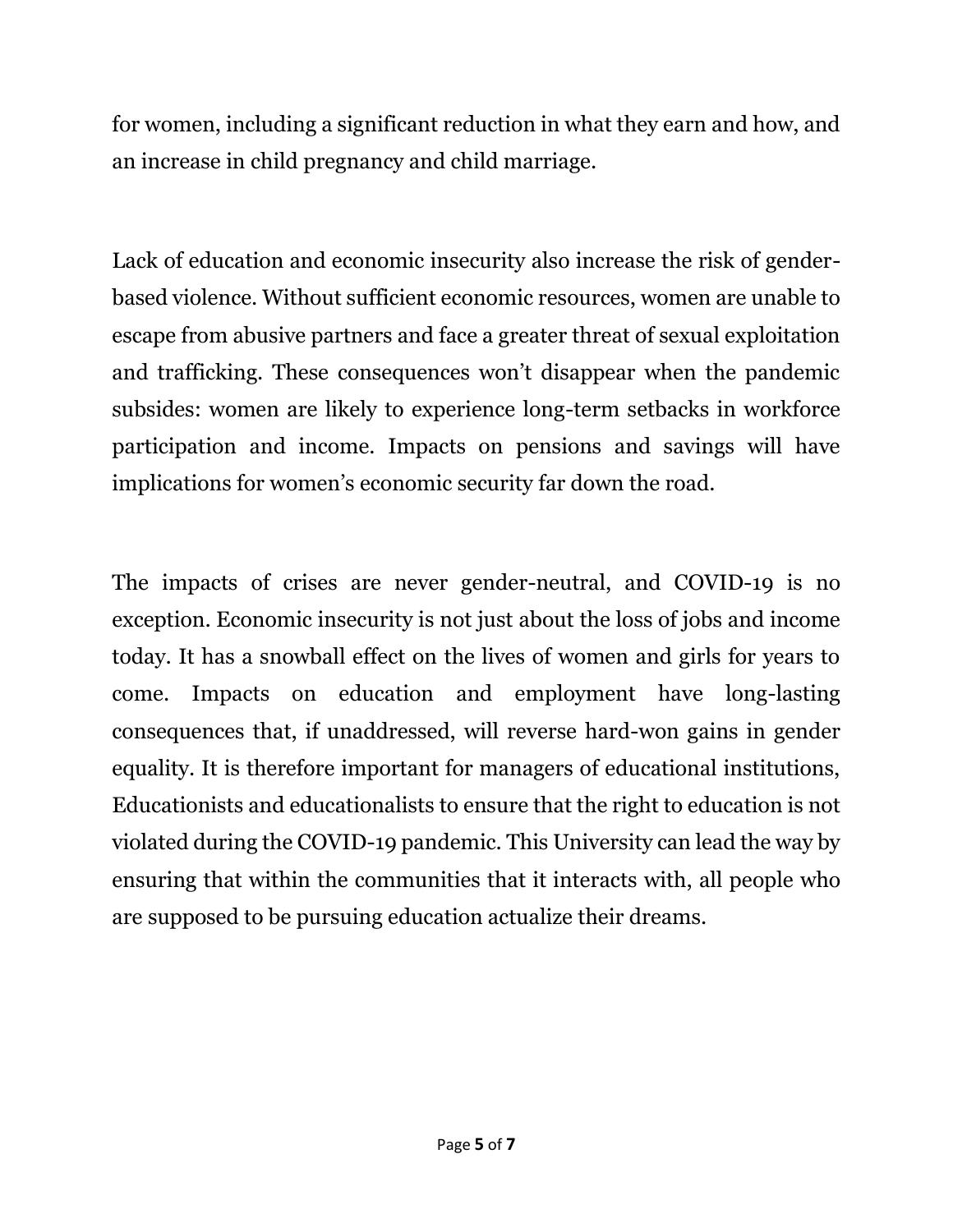for women, including a significant reduction in what they earn and how, and an increase in child pregnancy and child marriage.

Lack of education and economic insecurity also increase the risk of genderbased violence. Without sufficient economic resources, women are unable to escape from abusive partners and face a greater threat of sexual exploitation and trafficking. These consequences won't disappear when the pandemic subsides: women are likely to experience long-term setbacks in workforce participation and income. Impacts on pensions and savings will have implications for women's economic security far down the road.

The impacts of crises are never gender-neutral, and COVID-19 is no exception. Economic insecurity is not just about the loss of jobs and income today. It has a snowball effect on the lives of women and girls for years to come. Impacts on education and employment have long-lasting consequences that, if unaddressed, will reverse hard-won gains in gender equality. It is therefore important for managers of educational institutions, Educationists and educationalists to ensure that the right to education is not violated during the COVID-19 pandemic. This University can lead the way by ensuring that within the communities that it interacts with, all people who are supposed to be pursuing education actualize their dreams.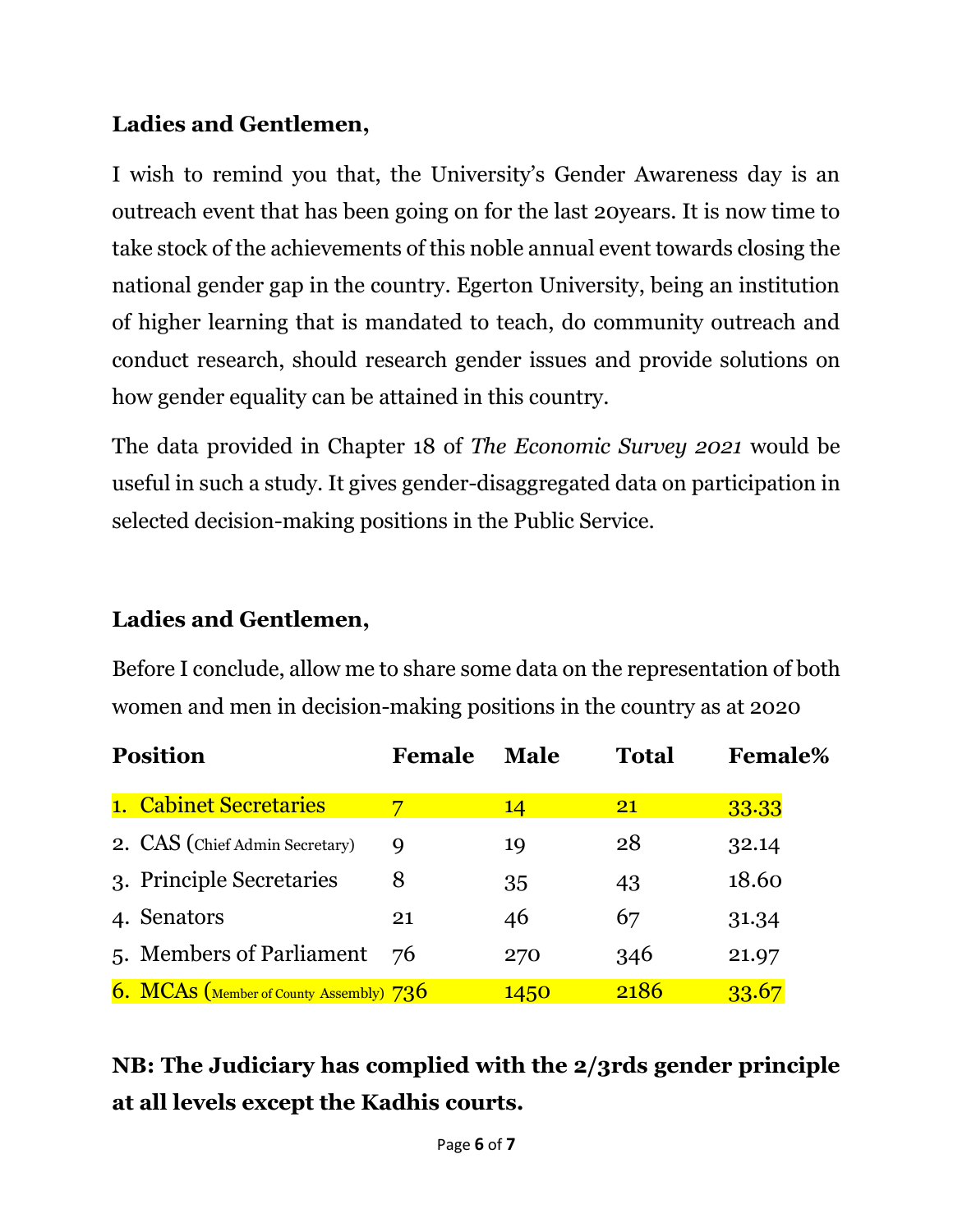#### **Ladies and Gentlemen,**

I wish to remind you that, the University's Gender Awareness day is an outreach event that has been going on for the last 20years. It is now time to take stock of the achievements of this noble annual event towards closing the national gender gap in the country. Egerton University, being an institution of higher learning that is mandated to teach, do community outreach and conduct research, should research gender issues and provide solutions on how gender equality can be attained in this country.

The data provided in Chapter 18 of *The Economic Survey 2021* would be useful in such a study. It gives gender-disaggregated data on participation in selected decision-making positions in the Public Service.

#### **Ladies and Gentlemen,**

Before I conclude, allow me to share some data on the representation of both women and men in decision-making positions in the country as at 2020

| <b>Position</b> |                                         | Female | <b>Male</b> | <b>Total</b>    | <b>Female%</b> |
|-----------------|-----------------------------------------|--------|-------------|-----------------|----------------|
|                 | 1. Cabinet Secretaries                  |        | 14          | $\overline{21}$ | 33.33          |
|                 | 2. CAS (Chief Admin Secretary)          | 9      | 19          | 28              | 32.14          |
|                 | 3. Principle Secretaries                | 8      | 35          | 43              | 18.60          |
|                 | 4. Senators                             | 21     | 46          | 67              | 31.34          |
|                 | 5. Members of Parliament                | -76    | 270         | 346             | 21.97          |
|                 | 6. MCAS (Member of County Assembly) 736 |        | 1450        | 2186            | 33.67          |

**NB: The Judiciary has complied with the 2/3rds gender principle at all levels except the Kadhis courts.**